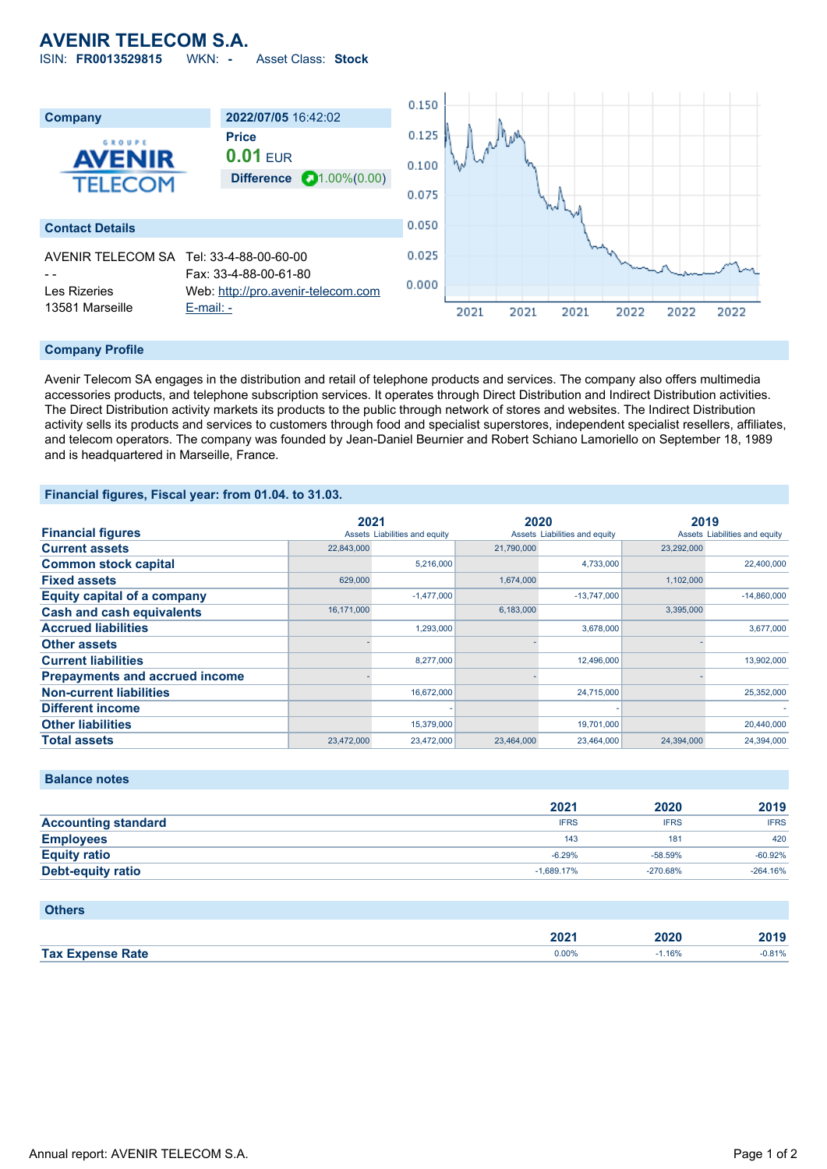# **AVENIR TELECOM S.A.**

ISIN: **FR0013529815** WKN: **-** Asset Class: **Stock**



#### **Company Profile**

Avenir Telecom SA engages in the distribution and retail of telephone products and services. The company also offers multimedia accessories products, and telephone subscription services. It operates through Direct Distribution and Indirect Distribution activities. The Direct Distribution activity markets its products to the public through network of stores and websites. The Indirect Distribution activity sells its products and services to customers through food and specialist superstores, independent specialist resellers, affiliates, and telecom operators. The company was founded by Jean-Daniel Beurnier and Robert Schiano Lamoriello on September 18, 1989 and is headquartered in Marseille, France.

## **Financial figures, Fiscal year: from 01.04. to 31.03.**

|                                       | 2021       |                               | 2020       |                               | 2019       |                               |
|---------------------------------------|------------|-------------------------------|------------|-------------------------------|------------|-------------------------------|
| <b>Financial figures</b>              |            | Assets Liabilities and equity |            | Assets Liabilities and equity |            | Assets Liabilities and equity |
| <b>Current assets</b>                 | 22,843,000 |                               | 21,790,000 |                               | 23,292,000 |                               |
| <b>Common stock capital</b>           |            | 5.216.000                     |            | 4.733.000                     |            | 22,400,000                    |
| <b>Fixed assets</b>                   | 629,000    |                               | 1,674,000  |                               | 1,102,000  |                               |
| <b>Equity capital of a company</b>    |            | $-1.477.000$                  |            | $-13.747.000$                 |            | $-14.860.000$                 |
| <b>Cash and cash equivalents</b>      | 16,171,000 |                               | 6,183,000  |                               | 3,395,000  |                               |
| <b>Accrued liabilities</b>            |            | 1.293.000                     |            | 3.678.000                     |            | 3,677,000                     |
| <b>Other assets</b>                   |            |                               |            |                               |            |                               |
| <b>Current liabilities</b>            |            | 8,277,000                     |            | 12,496,000                    |            | 13,902,000                    |
| <b>Prepayments and accrued income</b> |            |                               |            |                               |            |                               |
| <b>Non-current liabilities</b>        |            | 16,672,000                    |            | 24,715,000                    |            | 25,352,000                    |
| <b>Different income</b>               |            |                               |            |                               |            |                               |
| <b>Other liabilities</b>              |            | 15,379,000                    |            | 19,701,000                    |            | 20,440,000                    |
| <b>Total assets</b>                   | 23,472,000 | 23,472,000                    | 23,464,000 | 23,464,000                    | 24,394,000 | 24,394,000                    |

#### **Balance notes**

|                            | 2021         | 2020        | 2019        |
|----------------------------|--------------|-------------|-------------|
| <b>Accounting standard</b> | <b>IFRS</b>  | <b>IFRS</b> | <b>IFRS</b> |
| <b>Employees</b>           | 143          | 181         | 420         |
| <b>Equity ratio</b>        | $-6.29%$     | $-58.59%$   | $-60.92%$   |
| Debt-equity ratio          | $-1.689.17%$ | $-270.68%$  | $-264.16%$  |

### **Others**

|                               | nnn<br>ZUZ | 2020 |       |
|-------------------------------|------------|------|-------|
| <b>Tax L</b><br>Rate<br>manea | 0.0070     | 16%  | 0.81% |